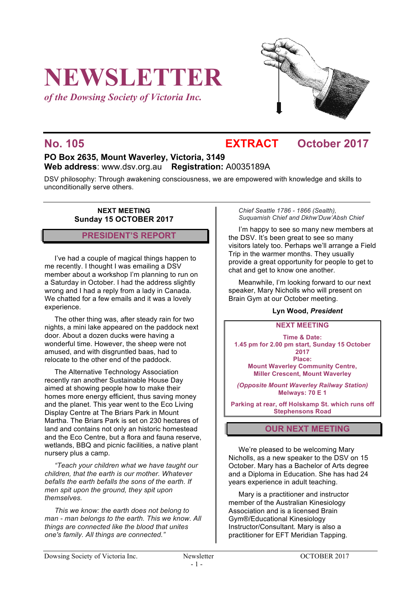# **NEWSLETTER**

*of the Dowsing Society of Victoria Inc.*



### **No. 105 EXTRACT October 2017**

#### **PO Box 2635, Mount Waverley, Victoria, 3149 Web address**: www.dsv.org.au **Registration:** A0035189A

DSV philosophy: Through awakening consciousness, we are empowered with knowledge and skills to unconditionally serve others.

#### **NEXT MEETING Sunday 15 OCTOBER 2017**

#### **PRESIDENT'S REPORT**

I've had a couple of magical things happen to me recently. I thought I was emailing a DSV member about a workshop I'm planning to run on a Saturday in October. I had the address slightly wrong and I had a reply from a lady in Canada. We chatted for a few emails and it was a lovely experience.

The other thing was, after steady rain for two nights, a mini lake appeared on the paddock next door. About a dozen ducks were having a wonderful time. However, the sheep were not amused, and with disgruntled baas, had to relocate to the other end of the paddock.

The Alternative Technology Association recently ran another Sustainable House Day aimed at showing people how to make their homes more energy efficient, thus saving money and the planet. This year went to the Eco Living Display Centre at The Briars Park in Mount Martha. The Briars Park is set on 230 hectares of land and contains not only an historic homestead and the Eco Centre, but a flora and fauna reserve, wetlands, BBQ and picnic facilities, a native plant nursery plus a camp.

*"Teach your children what we have taught our children, that the earth is our mother. Whatever befalls the earth befalls the sons of the earth. If men spit upon the ground, they spit upon themselves.*

*This we know: the earth does not belong to man - man belongs to the earth. This we know. All things are connected like the blood that unites one's family. All things are connected."*

*Chief Seattle 1786 - 1866 (Sealth), Suquamish Chief and Dkhw'Duw'Absh Chief*

I'm happy to see so many new members at the DSV. It's been great to see so many visitors lately too. Perhaps we'll arrange a Field Trip in the warmer months. They usually provide a great opportunity for people to get to chat and get to know one another.

Meanwhile, I'm looking forward to our next speaker, Mary Nicholls who will present on Brain Gym at our October meeting.

#### **Lyn Wood,** *President*

#### **NEXT MEETING**

**Time & Date: 1.45 pm for 2.00 pm start, Sunday 15 October 2017 Place: Mount Waverley Community Centre, Miller Crescent, Mount Waverley**

*(Opposite Mount Waverley Railway Station)* **Melways: 70 E 1**

**Parking at rear, off Holskamp St. which runs off Stephensons Road**

#### **OUR NEXT MEETING**

We're pleased to be welcoming Mary Nicholls, as a new speaker to the DSV on 15 October. Mary has a Bachelor of Arts degree and a Diploma in Education. She has had 24 years experience in adult teaching.

Mary is a practitioner and instructor member of the Australian Kinesiology Association and is a licensed Brain Gym®/Educational Kinesiology Instructor/Consultant. Mary is also a practitioner for EFT Meridian Tapping.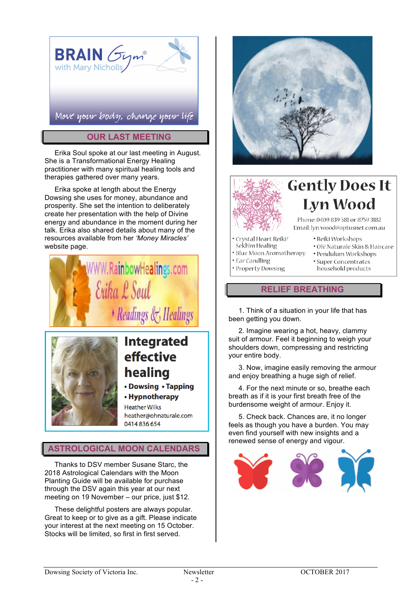

Erika Soul spoke at our last meeting in August. She is a Transformational Energy Healing practitioner with many spiritual healing tools and therapies gathered over many years.

Erika spoke at length about the Energy Dowsing she uses for money, abundance and prosperity. She set the intention to deliberately create her presentation with the help of Divine energy and abundance in the moment during her talk. Erika also shared details about many of the resources available from her *'Money Miracles'* website page.





### **Integrated** effective healing

• Dowsing • Tapping • Hypnotherapy

**Heather Wilks** heather@ohnaturale.com 0414836654

### **ASTROLOGICAL MOON CALENDARS**

Thanks to DSV member Susane Starc, the 2018 Astrological Calendars with the Moon Planting Guide will be available for purchase through the DSV again this year at our next meeting on 19 November – our price, just \$12.

These delightful posters are always popular. Great to keep or to give as a gift. Please indicate your interest at the next meeting on 15 October. Stocks will be limited, so first in first served.





## **Gently Does It Lyn Wood**

Phone: 0409 839 581 or 8759 3182 Email: lyn.wood@optusnet.com.au

· Reiki Workshops

- Crystal Heart Reiki/
- Sekh'm Healing
- · Blue Moon Aromatherapy
- · Ear Candling
- · Property Dowsing
- · Oh! Naturale Skin & Haircare · Pendulum Workshops · Super Concentrates
- household products

### **RELIEF BREATHING**

1. Think of a situation in your life that has been getting you down.

2. Imagine wearing a hot, heavy, clammy suit of armour. Feel it beginning to weigh your shoulders down, compressing and restricting your entire body.

3. Now, imagine easily removing the armour and enjoy breathing a huge sigh of relief.

4. For the next minute or so, breathe each breath as if it is your first breath free of the burdensome weight of armour. Enjoy it.

5. Check back. Chances are, it no longer feels as though you have a burden. You may even find yourself with new insights and a renewed sense of energy and vigour.